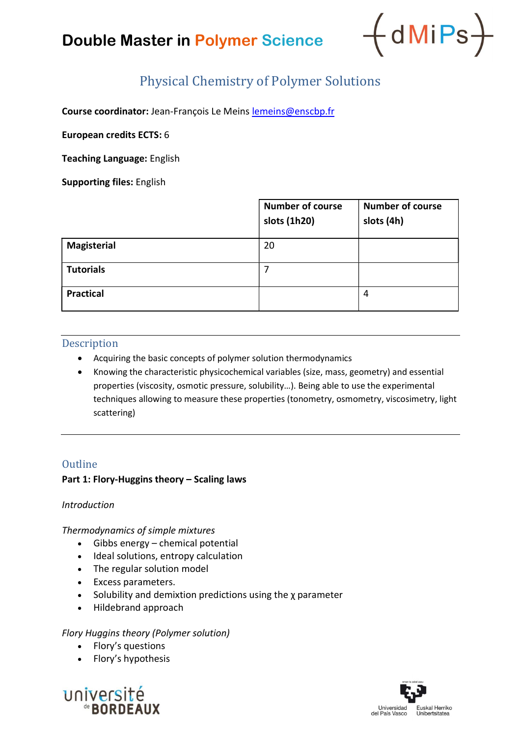## Double Master in Polymer Science



### Physical Chemistry of Polymer Solutions

Course coordinator: Jean-François Le Meins lemeins@enscbp.fr

European credits ECTS: 6

Teaching Language: English

Supporting files: English

|                    | <b>Number of course</b><br>slots (1h20) | <b>Number of course</b><br>slots (4h) |
|--------------------|-----------------------------------------|---------------------------------------|
| <b>Magisterial</b> | 20                                      |                                       |
| <b>Tutorials</b>   | 7                                       |                                       |
| <b>Practical</b>   |                                         | 4                                     |

### Description

- Acquiring the basic concepts of polymer solution thermodynamics
- Knowing the characteristic physicochemical variables (size, mass, geometry) and essential properties (viscosity, osmotic pressure, solubility…). Being able to use the experimental techniques allowing to measure these properties (tonometry, osmometry, viscosimetry, light scattering)

### **Outline**

### Part 1: Flory-Huggins theory – Scaling laws

### Introduction

### Thermodynamics of simple mixtures

- Gibbs energy chemical potential
- Ideal solutions, entropy calculation
- The regular solution model
- Excess parameters.
- Solubility and demixtion predictions using the *χ* parameter
- Hildebrand approach

### Flory Huggins theory (Polymer solution)

- Flory's questions
- Flory's hypothesis